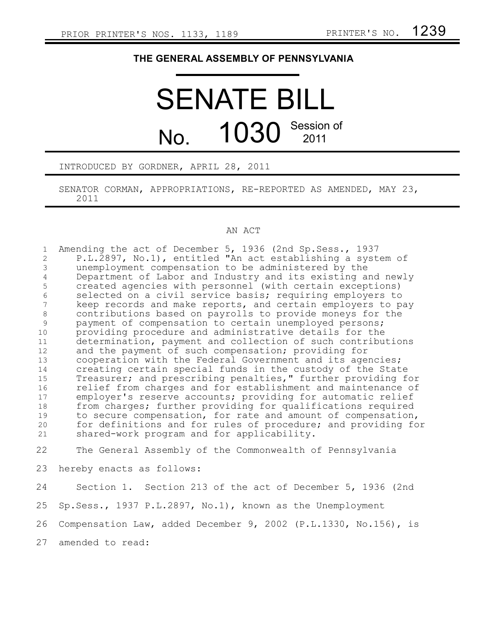## **THE GENERAL ASSEMBLY OF PENNSYLVANIA**

## SENATE BILL  $N<sub>0</sub>$  1030 Session of 2011

## INTRODUCED BY GORDNER, APRIL 28, 2011

SENATOR CORMAN, APPROPRIATIONS, RE-REPORTED AS AMENDED, MAY 23, 2011

## AN ACT

Amending the act of December 5, 1936 (2nd Sp.Sess., 1937 P.L.2897, No.1), entitled "An act establishing a system of unemployment compensation to be administered by the Department of Labor and Industry and its existing and newly created agencies with personnel (with certain exceptions) selected on a civil service basis; requiring employers to keep records and make reports, and certain employers to pay contributions based on payrolls to provide moneys for the payment of compensation to certain unemployed persons; providing procedure and administrative details for the determination, payment and collection of such contributions and the payment of such compensation; providing for cooperation with the Federal Government and its agencies; creating certain special funds in the custody of the State Treasurer; and prescribing penalties," further providing for relief from charges and for establishment and maintenance of employer's reserve accounts; providing for automatic relief from charges; further providing for qualifications required to secure compensation, for rate and amount of compensation, for definitions and for rules of procedure; and providing for shared-work program and for applicability. The General Assembly of the Commonwealth of Pennsylvania hereby enacts as follows: Section 1. Section 213 of the act of December 5, 1936 (2nd Sp.Sess., 1937 P.L.2897, No.1), known as the Unemployment Compensation Law, added December 9, 2002 (P.L.1330, No.156), is 1 2 3 4 5 6 7 8 9 10 11 12 13 14 15 16 17 18 19 20 21 22 23 24 25 26

amended to read: 27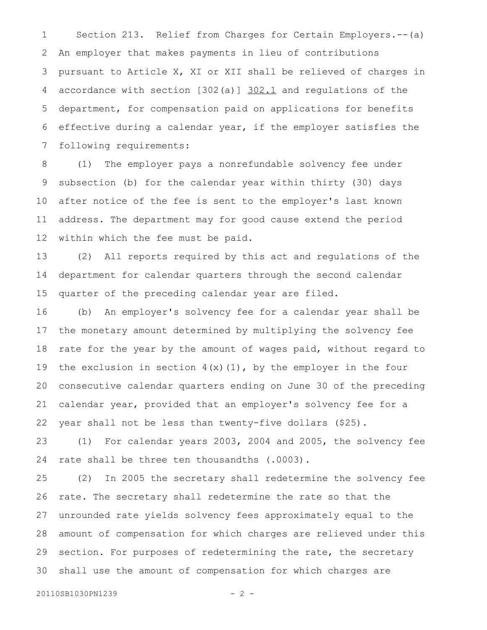Section 213. Relief from Charges for Certain Employers.--(a) An employer that makes payments in lieu of contributions pursuant to Article X, XI or XII shall be relieved of charges in accordance with section [302(a)] 302.1 and regulations of the department, for compensation paid on applications for benefits effective during a calendar year, if the employer satisfies the following requirements: 1 2 3 4 5 6 7

(1) The employer pays a nonrefundable solvency fee under subsection (b) for the calendar year within thirty (30) days after notice of the fee is sent to the employer's last known address. The department may for good cause extend the period within which the fee must be paid. 8 9 10 11 12

(2) All reports required by this act and regulations of the department for calendar quarters through the second calendar quarter of the preceding calendar year are filed. 13 14 15

(b) An employer's solvency fee for a calendar year shall be the monetary amount determined by multiplying the solvency fee rate for the year by the amount of wages paid, without regard to the exclusion in section  $4(x)(1)$ , by the employer in the four consecutive calendar quarters ending on June 30 of the preceding calendar year, provided that an employer's solvency fee for a year shall not be less than twenty-five dollars (\$25). 16 17 18 19 20 21 22

(1) For calendar years 2003, 2004 and 2005, the solvency fee rate shall be three ten thousandths (.0003). 23 24

(2) In 2005 the secretary shall redetermine the solvency fee rate. The secretary shall redetermine the rate so that the unrounded rate yields solvency fees approximately equal to the amount of compensation for which charges are relieved under this section. For purposes of redetermining the rate, the secretary shall use the amount of compensation for which charges are 25 26 27 28 29 30

20110SB1030PN1239 - 2 -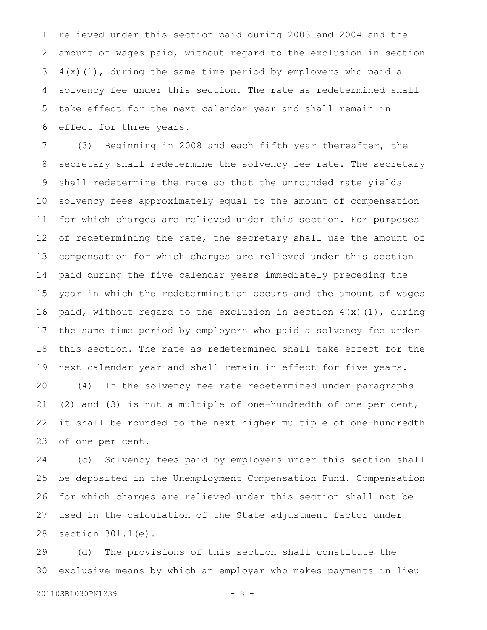relieved under this section paid during 2003 and 2004 and the amount of wages paid, without regard to the exclusion in section 4(x)(1), during the same time period by employers who paid a solvency fee under this section. The rate as redetermined shall take effect for the next calendar year and shall remain in effect for three years. 1 2 3 4 5 6

(3) Beginning in 2008 and each fifth year thereafter, the secretary shall redetermine the solvency fee rate. The secretary shall redetermine the rate so that the unrounded rate yields solvency fees approximately equal to the amount of compensation for which charges are relieved under this section. For purposes of redetermining the rate, the secretary shall use the amount of compensation for which charges are relieved under this section paid during the five calendar years immediately preceding the year in which the redetermination occurs and the amount of wages paid, without regard to the exclusion in section  $4(x)(1)$ , during the same time period by employers who paid a solvency fee under this section. The rate as redetermined shall take effect for the next calendar year and shall remain in effect for five years. (4) If the solvency fee rate redetermined under paragraphs (2) and (3) is not a multiple of one-hundredth of one per cent, it shall be rounded to the next higher multiple of one-hundredth of one per cent. 7 8 9 10 11 12 13 14 15 16 17 18 19 20 21 22 23

(c) Solvency fees paid by employers under this section shall be deposited in the Unemployment Compensation Fund. Compensation for which charges are relieved under this section shall not be used in the calculation of the State adjustment factor under section 301.1(e). 24 25 26 27 28

(d) The provisions of this section shall constitute the exclusive means by which an employer who makes payments in lieu 29 30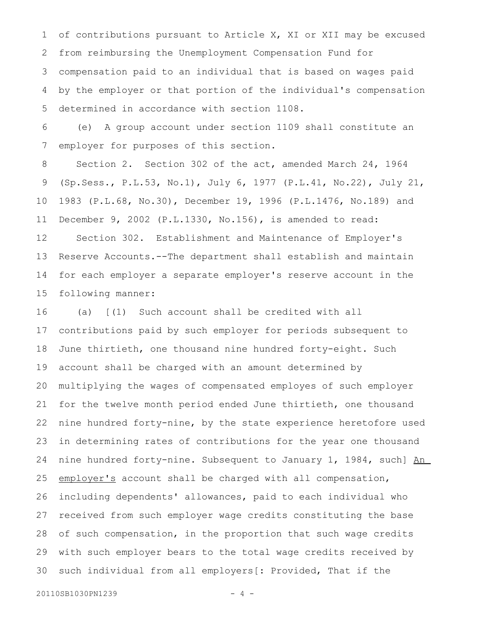of contributions pursuant to Article X, XI or XII may be excused from reimbursing the Unemployment Compensation Fund for compensation paid to an individual that is based on wages paid by the employer or that portion of the individual's compensation determined in accordance with section 1108. 1 2 3 4 5

(e) A group account under section 1109 shall constitute an employer for purposes of this section. 6 7

Section 2. Section 302 of the act, amended March 24, 1964 (Sp.Sess., P.L.53, No.1), July 6, 1977 (P.L.41, No.22), July 21, 1983 (P.L.68, No.30), December 19, 1996 (P.L.1476, No.189) and December 9, 2002 (P.L.1330, No.156), is amended to read: Section 302. Establishment and Maintenance of Employer's Reserve Accounts.--The department shall establish and maintain for each employer a separate employer's reserve account in the following manner: 8 9 10 11 12 13 14 15

(a) [(1) Such account shall be credited with all contributions paid by such employer for periods subsequent to June thirtieth, one thousand nine hundred forty-eight. Such account shall be charged with an amount determined by multiplying the wages of compensated employes of such employer for the twelve month period ended June thirtieth, one thousand nine hundred forty-nine, by the state experience heretofore used in determining rates of contributions for the year one thousand nine hundred forty-nine. Subsequent to January 1, 1984, such] An employer's account shall be charged with all compensation, including dependents' allowances, paid to each individual who received from such employer wage credits constituting the base of such compensation, in the proportion that such wage credits with such employer bears to the total wage credits received by such individual from all employers[: Provided, That if the 16 17 18 19 20 21 22 23 24 25 26 27 28 29 30

```
20110SB1030PN1239 - 4 -
```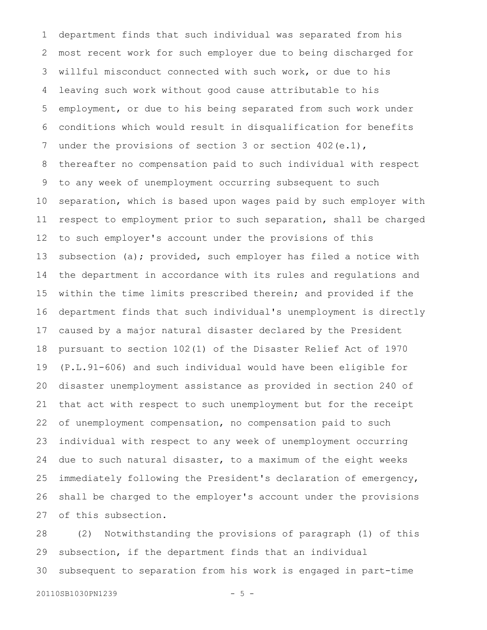department finds that such individual was separated from his most recent work for such employer due to being discharged for willful misconduct connected with such work, or due to his leaving such work without good cause attributable to his employment, or due to his being separated from such work under conditions which would result in disqualification for benefits under the provisions of section 3 or section 402(e.1), thereafter no compensation paid to such individual with respect to any week of unemployment occurring subsequent to such separation, which is based upon wages paid by such employer with respect to employment prior to such separation, shall be charged to such employer's account under the provisions of this subsection (a); provided, such employer has filed a notice with the department in accordance with its rules and regulations and within the time limits prescribed therein; and provided if the department finds that such individual's unemployment is directly caused by a major natural disaster declared by the President pursuant to section 102(1) of the Disaster Relief Act of 1970 (P.L.91-606) and such individual would have been eligible for disaster unemployment assistance as provided in section 240 of that act with respect to such unemployment but for the receipt of unemployment compensation, no compensation paid to such individual with respect to any week of unemployment occurring due to such natural disaster, to a maximum of the eight weeks immediately following the President's declaration of emergency, shall be charged to the employer's account under the provisions of this subsection. 1 2 3 4 5 6 7 8 9 10 11 12 13 14 15 16 17 18 19 20 21 22 23 24 25 26 27

(2) Notwithstanding the provisions of paragraph (1) of this subsection, if the department finds that an individual subsequent to separation from his work is engaged in part-time 28 29 30

```
20110SB1030PN1239 - 5 -
```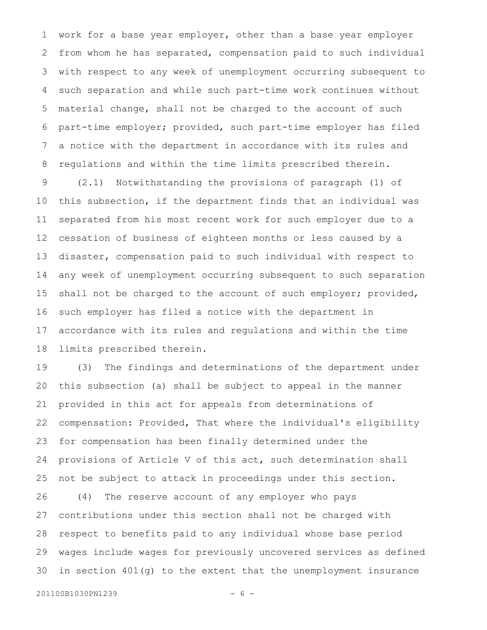work for a base year employer, other than a base year employer from whom he has separated, compensation paid to such individual with respect to any week of unemployment occurring subsequent to such separation and while such part-time work continues without material change, shall not be charged to the account of such part-time employer; provided, such part-time employer has filed a notice with the department in accordance with its rules and regulations and within the time limits prescribed therein. 1 2 3 4 5 6 7 8

(2.1) Notwithstanding the provisions of paragraph (1) of this subsection, if the department finds that an individual was separated from his most recent work for such employer due to a cessation of business of eighteen months or less caused by a disaster, compensation paid to such individual with respect to any week of unemployment occurring subsequent to such separation shall not be charged to the account of such employer; provided, such employer has filed a notice with the department in accordance with its rules and regulations and within the time limits prescribed therein. 9 10 11 12 13 14 15 16 17 18

(3) The findings and determinations of the department under this subsection (a) shall be subject to appeal in the manner provided in this act for appeals from determinations of compensation: Provided, That where the individual's eligibility for compensation has been finally determined under the provisions of Article V of this act, such determination shall not be subject to attack in proceedings under this section. (4) The reserve account of any employer who pays contributions under this section shall not be charged with respect to benefits paid to any individual whose base period wages include wages for previously uncovered services as defined in section 401(g) to the extent that the unemployment insurance 19 20 21 22 23 24 25 26 27 28 29 30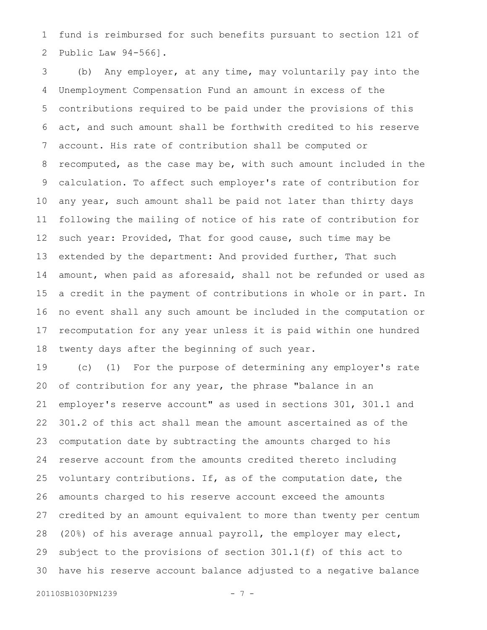fund is reimbursed for such benefits pursuant to section 121 of Public Law 94-566]. 1 2

(b) Any employer, at any time, may voluntarily pay into the Unemployment Compensation Fund an amount in excess of the contributions required to be paid under the provisions of this act, and such amount shall be forthwith credited to his reserve account. His rate of contribution shall be computed or recomputed, as the case may be, with such amount included in the calculation. To affect such employer's rate of contribution for any year, such amount shall be paid not later than thirty days following the mailing of notice of his rate of contribution for such year: Provided, That for good cause, such time may be extended by the department: And provided further, That such amount, when paid as aforesaid, shall not be refunded or used as a credit in the payment of contributions in whole or in part. In no event shall any such amount be included in the computation or recomputation for any year unless it is paid within one hundred twenty days after the beginning of such year. 3 4 5 6 7 8 9 10 11 12 13 14 15 16 17 18

(c) (1) For the purpose of determining any employer's rate of contribution for any year, the phrase "balance in an employer's reserve account" as used in sections 301, 301.1 and 301.2 of this act shall mean the amount ascertained as of the computation date by subtracting the amounts charged to his reserve account from the amounts credited thereto including voluntary contributions. If, as of the computation date, the amounts charged to his reserve account exceed the amounts credited by an amount equivalent to more than twenty per centum (20%) of his average annual payroll, the employer may elect, subject to the provisions of section 301.1(f) of this act to have his reserve account balance adjusted to a negative balance 19 20 21 22 23 24 25 26 27 28 29 30

```
20110SB1030PN1239 - 7 -
```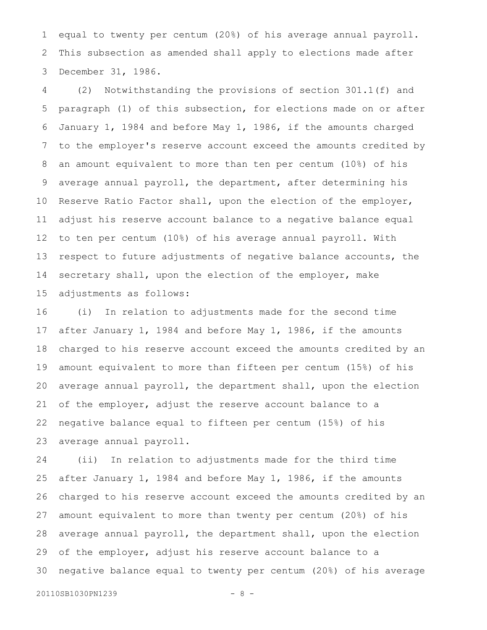equal to twenty per centum (20%) of his average annual payroll. This subsection as amended shall apply to elections made after December 31, 1986. 1 2 3

(2) Notwithstanding the provisions of section 301.1(f) and paragraph (1) of this subsection, for elections made on or after January 1, 1984 and before May 1, 1986, if the amounts charged to the employer's reserve account exceed the amounts credited by an amount equivalent to more than ten per centum (10%) of his average annual payroll, the department, after determining his Reserve Ratio Factor shall, upon the election of the employer, adjust his reserve account balance to a negative balance equal to ten per centum (10%) of his average annual payroll. With respect to future adjustments of negative balance accounts, the secretary shall, upon the election of the employer, make adjustments as follows: 4 5 6 7 8 9 10 11 12 13 14 15

(i) In relation to adjustments made for the second time after January 1, 1984 and before May 1, 1986, if the amounts charged to his reserve account exceed the amounts credited by an amount equivalent to more than fifteen per centum (15%) of his average annual payroll, the department shall, upon the election of the employer, adjust the reserve account balance to a negative balance equal to fifteen per centum (15%) of his average annual payroll. 16 17 18 19 20 21 22 23

(ii) In relation to adjustments made for the third time after January 1, 1984 and before May 1, 1986, if the amounts charged to his reserve account exceed the amounts credited by an amount equivalent to more than twenty per centum (20%) of his average annual payroll, the department shall, upon the election of the employer, adjust his reserve account balance to a negative balance equal to twenty per centum (20%) of his average 24 25 26 27 28 29 30

20110SB1030PN1239 - 8 -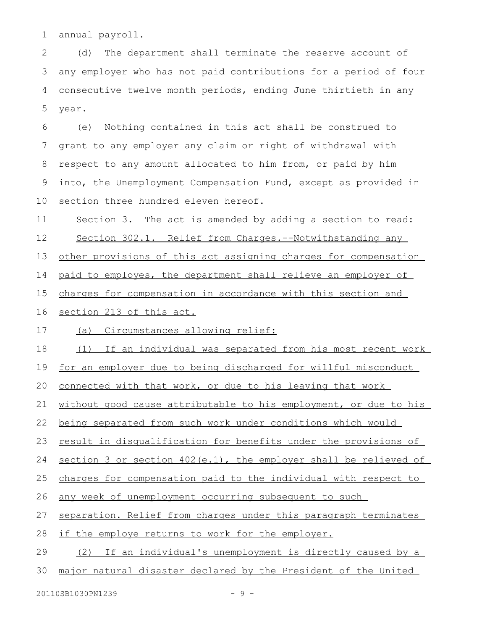annual payroll. 1

(d) The department shall terminate the reserve account of any employer who has not paid contributions for a period of four consecutive twelve month periods, ending June thirtieth in any year. 2 3 4 5

(e) Nothing contained in this act shall be construed to grant to any employer any claim or right of withdrawal with respect to any amount allocated to him from, or paid by him into, the Unemployment Compensation Fund, except as provided in section three hundred eleven hereof. 6 7 8 9 10

Section 3. The act is amended by adding a section to read: 11

Section 302.1. Relief from Charges.--Notwithstanding any 12

other provisions of this act assigning charges for compensation 13

paid to employes, the department shall relieve an employer of 14

charges for compensation in accordance with this section and 15

section 213 of this act. 16

(a) Circumstances allowing relief: 17

(1) If an individual was separated from his most recent work 18

for an employer due to being discharged for willful misconduct 19

connected with that work, or due to his leaving that work 20

without good cause attributable to his employment, or due to his 21

being separated from such work under conditions which would 22

result in disqualification for benefits under the provisions of 23

section 3 or section 402(e.1), the employer shall be relieved of 24

charges for compensation paid to the individual with respect to 25

any week of unemployment occurring subsequent to such 26

separation. Relief from charges under this paragraph terminates 27

if the employe returns to work for the employer. 28

(2) If an individual's unemployment is directly caused by a 29

major natural disaster declared by the President of the United 30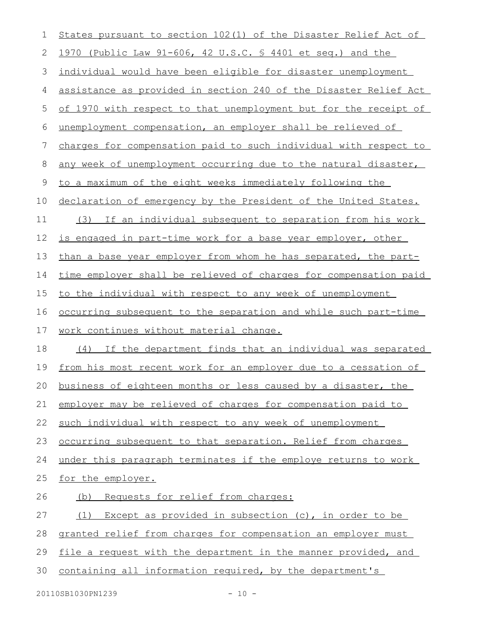| 1  | States pursuant to section 102(1) of the Disaster Relief Act of        |
|----|------------------------------------------------------------------------|
| 2  | 1970 (Public Law 91-606, 42 U.S.C. § 4401 et seq.) and the             |
| 3  | individual would have been eligible for disaster unemployment          |
| 4  | assistance as provided in section 240 of the Disaster Relief Act       |
| 5  | of 1970 with respect to that unemployment but for the receipt of       |
| 6  | unemployment compensation, an employer shall be relieved of            |
| 7  | charges for compensation paid to such individual with respect to       |
| 8  | any week of unemployment occurring due to the natural disaster,        |
| 9  | to a maximum of the eight weeks immediately following the              |
| 10 | declaration of emergency by the President of the United States.        |
| 11 | If an individual subsequent to separation from his work<br>(3)         |
| 12 | is engaged in part-time work for a base year employer, other           |
| 13 | than a base year employer from whom he has separated, the part-        |
| 14 | time employer shall be relieved of charges for compensation paid       |
| 15 | to the individual with respect to any week of unemployment             |
| 16 | <u>occurring subsequent to the separation and while such part-time</u> |
| 17 | work continues without material change.                                |
| 18 | (4) If the department finds that an individual was separated           |
| 19 | from his most recent work for an employer due to a cessation of        |
|    | 20 business of eighteen months or less caused by a disaster, the       |
| 21 | employer may be relieved of charges for compensation paid to           |
| 22 | such individual with respect to any week of unemployment               |
| 23 | occurring subsequent to that separation. Relief from charges           |
| 24 | under this paragraph terminates if the employe returns to work         |
| 25 | for the employer.                                                      |
| 26 | (b) Requests for relief from charges:                                  |
| 27 | (1) Except as provided in subsection (c), in order to be               |
| 28 | granted relief from charges for compensation an employer must          |
| 29 | file a request with the department in the manner provided, and         |
| 30 | containing all information required, by the department's               |
|    |                                                                        |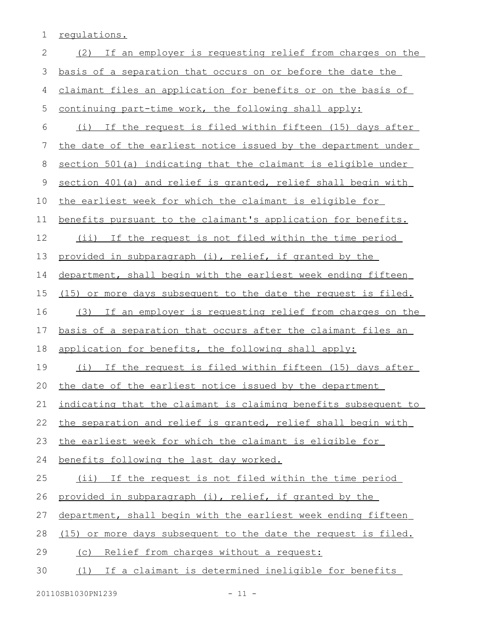1 regulations.

| $\mathbf{2}$ | (2) If an employer is requesting relief from charges on the     |
|--------------|-----------------------------------------------------------------|
| 3            | basis of a separation that occurs on or before the date the     |
| 4            | claimant files an application for benefits or on the basis of   |
| 5            | continuing part-time work, the following shall apply:           |
| 6            | (i) If the request is filed within fifteen (15) days after      |
| 7            | the date of the earliest notice issued by the department under  |
| 8            | section 501(a) indicating that the claimant is eligible under   |
| 9            | section 401(a) and relief is granted, relief shall begin with   |
| 10           | the earliest week for which the claimant is eligible for        |
| 11           | benefits pursuant to the claimant's application for benefits.   |
| 12           | (ii) If the request is not filed within the time period         |
| 13           | provided in subparagraph (i), relief, if granted by the         |
| 14           | department, shall begin with the earliest week ending fifteen   |
| 15           | (15) or more days subsequent to the date the request is filed.  |
| 16           | (3) If an employer is requesting relief from charges on the     |
|              |                                                                 |
| 17           | basis of a separation that occurs after the claimant files an   |
| 18           | application for benefits, the following shall apply:            |
| 19           | (i) If the request is filed within fifteen (15) days after      |
| 20           | the date of the earliest notice issued by the department        |
|              | indicating that the claimant is claiming benefits subsequent to |
| 22           | the separation and relief is granted, relief shall begin with   |
| 21<br>23     | the earliest week for which the claimant is eligible for        |
| 24           | benefits following the last day worked.                         |
| 25           | (ii) If the request is not filed within the time period         |
| 26           | provided in subparagraph (i), relief, if granted by the         |
| 27           | department, shall begin with the earliest week ending fifteen   |
| 28           | (15) or more days subsequent to the date the request is filed.  |
| 29           | (c) Relief from charges without a request:                      |
| 30           | (1) If a claimant is determined ineligible for benefits         |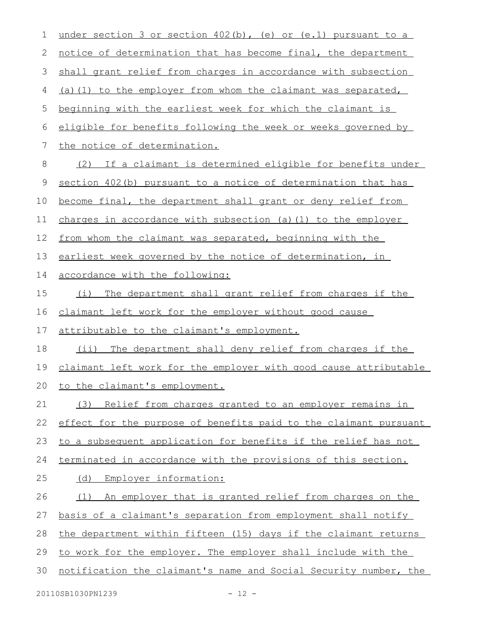| $\mathbf 1$ | under section 3 or section 402(b), (e) or (e.1) pursuant to a    |
|-------------|------------------------------------------------------------------|
| 2           | notice of determination that has become final, the department    |
| 3           | shall grant relief from charges in accordance with subsection    |
| 4           | (a) (1) to the employer from whom the claimant was separated,    |
| 5           | beginning with the earliest week for which the claimant is       |
| 6           | eligible for benefits following the week or weeks governed by    |
| 7           | the notice of determination.                                     |
| 8           | If a claimant is determined eligible for benefits under<br>(2)   |
| 9           | section 402(b) pursuant to a notice of determination that has    |
| 10          | become final, the department shall grant or deny relief from     |
| 11          | charges in accordance with subsection (a) (1) to the employer    |
| 12          | from whom the claimant was separated, beginning with the         |
| 13          | earliest week governed by the notice of determination, in        |
| 14          | accordance with the following:                                   |
| 15          | The department shall grant relief from charges if the<br>(i)     |
| 16          | claimant left work for the employer without good cause           |
| 17          | attributable to the claimant's employment.                       |
| 18          | The department shall deny relief from charges if the<br>(i)      |
| 19          | claimant left work for the employer with good cause attributable |
| 20          | to the claimant's employment.                                    |
| 21          | Relief from charges granted to an employer remains in<br>(3)     |
| 22          | effect for the purpose of benefits paid to the claimant pursuant |
| 23          | to a subsequent application for benefits if the relief has not   |
| 24          | terminated in accordance with the provisions of this section.    |
| 25          | (d)<br>Employer information:                                     |
| 26          | An employer that is granted relief from charges on the<br>(1)    |
| 27          | basis of a claimant's separation from employment shall notify    |
| 28          | the department within fifteen (15) days if the claimant returns  |
| 29          | to work for the employer. The employer shall include with the    |
| 30          | notification the claimant's name and Social Security number, the |
|             |                                                                  |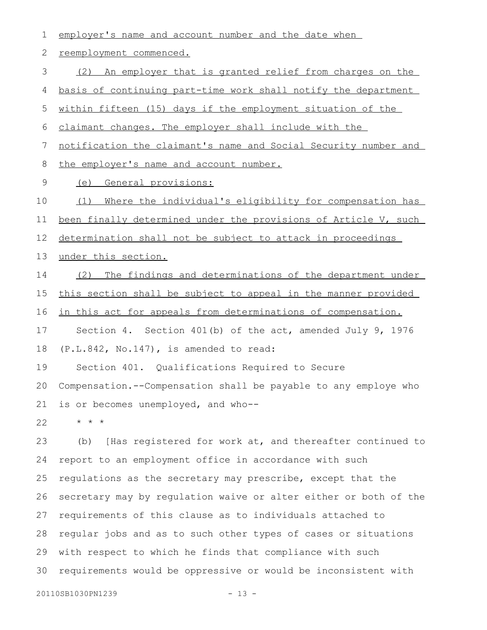| 1              | employer's name and account number and the date when             |
|----------------|------------------------------------------------------------------|
| $\mathbf{2}$   | reemployment commenced.                                          |
| $\mathfrak{Z}$ | (2) An employer that is granted relief from charges on the       |
| 4              | basis of continuing part-time work shall notify the department   |
| 5              | within fifteen (15) days if the employment situation of the      |
| 6              | claimant changes. The employer shall include with the            |
| 7              | notification the claimant's name and Social Security number and  |
| 8              | the employer's name and account number.                          |
| 9              | General provisions:<br>(e)                                       |
| 10             | (1)<br>Where the individual's eligibility for compensation has   |
| 11             | been finally determined under the provisions of Article V, such  |
| 12             | determination shall not be subject to attack in proceedings      |
| 13             | under this section.                                              |
| 14             | (2) The findings and determinations of the department under      |
| 15             | this section shall be subject to appeal in the manner provided   |
| 16             | in this act for appeals from determinations of compensation.     |
|                |                                                                  |
| 17             | Section 4. Section 401(b) of the act, amended July 9, 1976       |
| 18             | $(P.L.842, No.147)$ , is amended to read:                        |
| 19             | Section 401. Qualifications Required to Secure                   |
| 20             | Compensation.--Compensation shall be payable to any employe who  |
| 21             | is or becomes unemployed, and who--                              |
| 22             | $\star$ $\star$ $\star$                                          |
| 23             | [Has registered for work at, and thereafter continued to<br>(b)  |
| 24             | report to an employment office in accordance with such           |
| 25             | requlations as the secretary may prescribe, except that the      |
| 26             | secretary may by regulation waive or alter either or both of the |
| 27             | requirements of this clause as to individuals attached to        |
| 28             | regular jobs and as to such other types of cases or situations   |
| 29             | with respect to which he finds that compliance with such         |

20110SB1030PN1239 - 13 -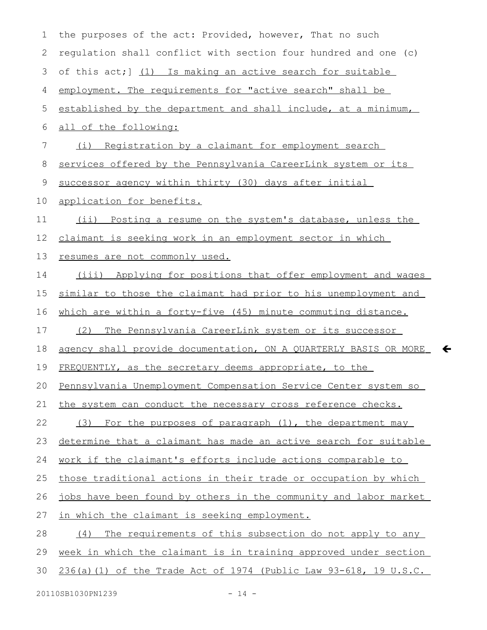| $\mathbf 1$ | the purposes of the act: Provided, however, That no such            |
|-------------|---------------------------------------------------------------------|
| 2           | requlation shall conflict with section four hundred and one (c)     |
| 3           | of this act; 1 (1) Is making an active search for suitable          |
| 4           | employment. The requirements for "active search" shall be           |
| 5           | established by the department and shall include, at a minimum,      |
| 6           | all of the following:                                               |
| 7           | (i) Registration by a claimant for employment search                |
| 8           | services offered by the Pennsylvania CareerLink system or its       |
| 9           | successor agency within thirty (30) days after initial              |
| 10          | application for benefits.                                           |
| 11          | (ii) Posting a resume on the system's database, unless the          |
| 12          | claimant is seeking work in an employment sector in which           |
| 13          | resumes are not commonly used.                                      |
| 14          | (iii) Applying for positions that offer employment and wages        |
| 15          | similar to those the claimant had prior to his unemployment and     |
| 16          | which are within a forty-five (45) minute commuting distance.       |
| 17          | The Pennsylvania CareerLink system or its successor<br>(2)          |
| 18          | agency shall provide documentation, ON A QUARTERLY BASIS OR MORE    |
| 19          | FREQUENTLY, as the secretary deems appropriate, to the              |
| 20          | Pennsylvania Unemployment Compensation Service Center system so     |
| 21          | the system can conduct the necessary cross reference checks.        |
| 22          | For the purposes of paragraph (1), the department may<br>(3)        |
| 23          | determine that a claimant has made an active search for suitable    |
| 24          | work if the claimant's efforts include actions comparable to        |
| 25          | those traditional actions in their trade or occupation by which     |
| 26          | jobs have been found by others in the community and labor market    |
| 27          | in which the claimant is seeking employment.                        |
| 28          | The requirements of this subsection do not apply to any<br>(4)      |
| 29          | week in which the claimant is in training approved under section    |
| 30          | $236(a) (1)$ of the Trade Act of 1974 (Public Law 93-618, 19 U.S.C. |
|             |                                                                     |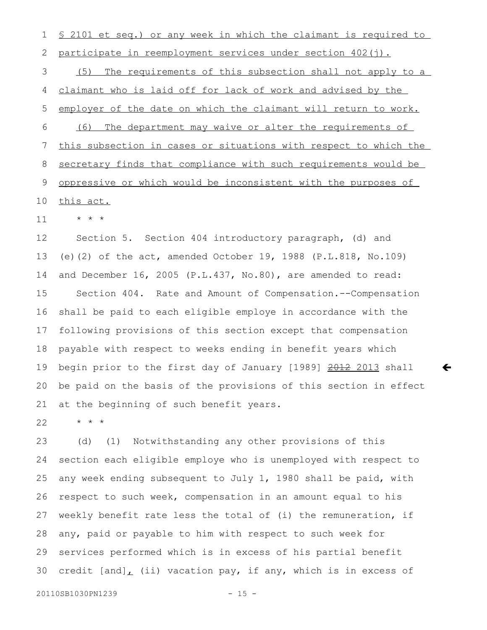§ 2101 et seq.) or any week in which the claimant is required to participate in reemployment services under section 402(j). (5) The requirements of this subsection shall not apply to a claimant who is laid off for lack of work and advised by the employer of the date on which the claimant will return to work. (6) The department may waive or alter the requirements of this subsection in cases or situations with respect to which the secretary finds that compliance with such requirements would be oppressive or which would be inconsistent with the purposes of this act. 1 2 3 4 5 6 7 8 9 10

\* \* \* 11

Section 5. Section 404 introductory paragraph, (d) and (e)(2) of the act, amended October 19, 1988 (P.L.818, No.109) and December 16, 2005 (P.L.437, No.80), are amended to read: Section 404. Rate and Amount of Compensation.--Compensation shall be paid to each eligible employe in accordance with the following provisions of this section except that compensation payable with respect to weeks ending in benefit years which begin prior to the first day of January [1989] 2012 2013 shall be paid on the basis of the provisions of this section in effect at the beginning of such benefit years. 12 13 14 15 16 17 18 19 20 21

 $\leftarrow$ 

\* \* \* 22

(d) (1) Notwithstanding any other provisions of this section each eligible employe who is unemployed with respect to any week ending subsequent to July 1, 1980 shall be paid, with respect to such week, compensation in an amount equal to his weekly benefit rate less the total of (i) the remuneration, if any, paid or payable to him with respect to such week for services performed which is in excess of his partial benefit credit  $[and]_L$  (ii) vacation pay, if any, which is in excess of 23 24 25 26 27 28 29 30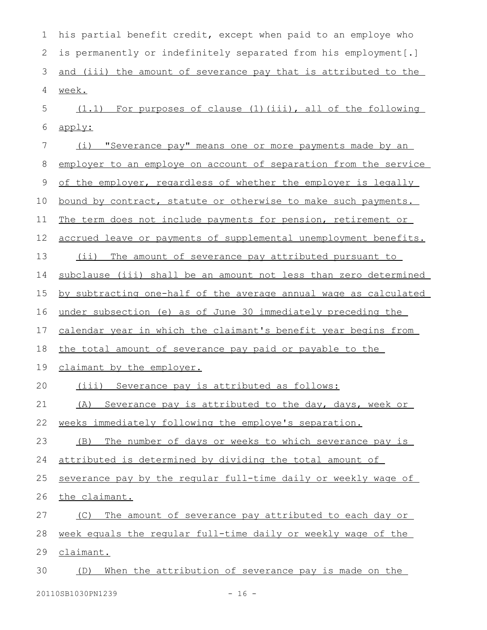| 1            | his partial benefit credit, except when paid to an employe who   |
|--------------|------------------------------------------------------------------|
| $\mathbf{2}$ | is permanently or indefinitely separated from his employment[.]  |
| 3            | and (iii) the amount of severance pay that is attributed to the  |
| 4            | week.                                                            |
| 5            | (1.1) For purposes of clause (1) (iii), all of the following     |
| 6            | apply:                                                           |
| 7            | "Severance pay" means one or more payments made by an<br>(i)     |
| 8            | employer to an employe on account of separation from the service |
| 9            | of the employer, regardless of whether the employer is legally   |
| 10           | bound by contract, statute or otherwise to make such payments.   |
| 11           | The term does not include payments for pension, retirement or    |
| 12           | accrued leave or payments of supplemental unemployment benefits. |
| 13           | (ii) The amount of severance pay attributed pursuant to          |
| 14           | subclause (iii) shall be an amount not less than zero determined |
| 15           | by subtracting one-half of the average annual wage as calculated |
| 16           | under subsection (e) as of June 30 immediately preceding the     |
| 17           | calendar year in which the claimant's benefit year begins from   |
| 18           | the total amount of severance pay paid or payable to the         |
| 19           | claimant by the employer.                                        |
| 20           | (iii) Severance pay is attributed as follows:                    |
| 21           | (A) Severance pay is attributed to the day, days, week or        |
| 22           | weeks immediately following the employe's separation.            |
| 23           | The number of days or weeks to which severance pay is<br>(B)     |
| 24           | attributed is determined by dividing the total amount of         |
| 25           | severance pay by the reqular full-time daily or weekly wage of   |
| 26           | the claimant.                                                    |
| 27           | The amount of severance pay attributed to each day or<br>(C)     |
| 28           | week equals the regular full-time daily or weekly wage of the    |
| 29           | claimant.                                                        |
| 30           | When the attribution of severance pay is made on the<br>(D)      |
|              |                                                                  |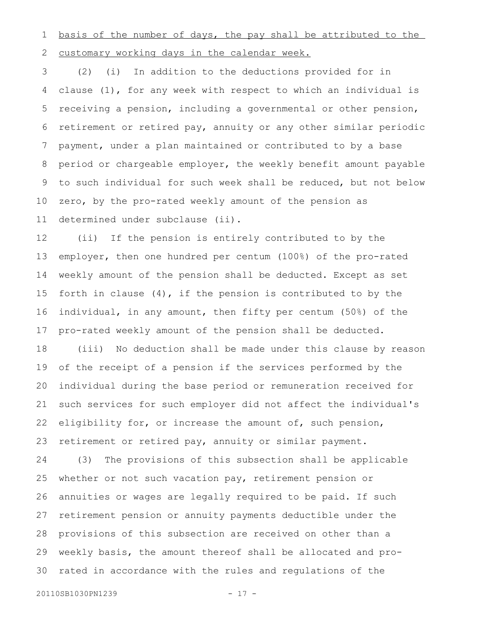basis of the number of days, the pay shall be attributed to the customary working days in the calendar week. 1 2

(2) (i) In addition to the deductions provided for in clause (1), for any week with respect to which an individual is receiving a pension, including a governmental or other pension, retirement or retired pay, annuity or any other similar periodic payment, under a plan maintained or contributed to by a base period or chargeable employer, the weekly benefit amount payable to such individual for such week shall be reduced, but not below zero, by the pro-rated weekly amount of the pension as determined under subclause (ii). 3 4 5 6 7 8 9 10 11

(ii) If the pension is entirely contributed to by the employer, then one hundred per centum (100%) of the pro-rated weekly amount of the pension shall be deducted. Except as set forth in clause (4), if the pension is contributed to by the individual, in any amount, then fifty per centum (50%) of the pro-rated weekly amount of the pension shall be deducted. 12 13 14 15 16 17

(iii) No deduction shall be made under this clause by reason of the receipt of a pension if the services performed by the individual during the base period or remuneration received for such services for such employer did not affect the individual's eligibility for, or increase the amount of, such pension, retirement or retired pay, annuity or similar payment. 18 19 20 21 22 23

(3) The provisions of this subsection shall be applicable whether or not such vacation pay, retirement pension or annuities or wages are legally required to be paid. If such retirement pension or annuity payments deductible under the provisions of this subsection are received on other than a weekly basis, the amount thereof shall be allocated and prorated in accordance with the rules and regulations of the 24 25 26 27 28 29 30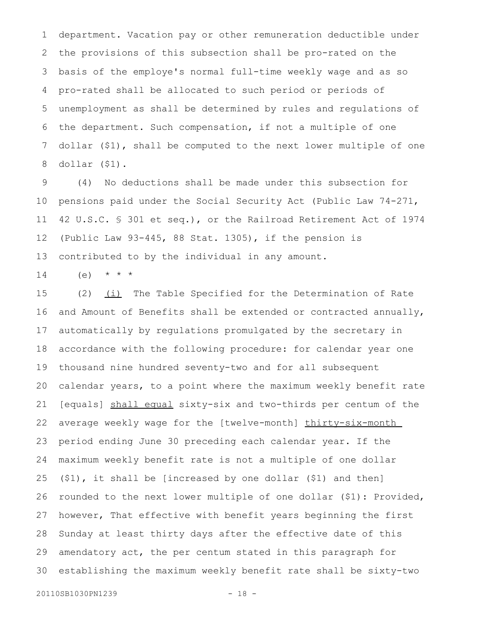department. Vacation pay or other remuneration deductible under the provisions of this subsection shall be pro-rated on the basis of the employe's normal full-time weekly wage and as so pro-rated shall be allocated to such period or periods of unemployment as shall be determined by rules and regulations of the department. Such compensation, if not a multiple of one dollar (\$1), shall be computed to the next lower multiple of one dollar (\$1). 1 2 3 4 5 6 7 8

(4) No deductions shall be made under this subsection for pensions paid under the Social Security Act (Public Law 74-271, 42 U.S.C. § 301 et seq.), or the Railroad Retirement Act of 1974 (Public Law 93-445, 88 Stat. 1305), if the pension is contributed to by the individual in any amount. 9 10 11 12 13

 $(e)$  \* \* \* 14

(2)  $(i)$  The Table Specified for the Determination of Rate and Amount of Benefits shall be extended or contracted annually, automatically by regulations promulgated by the secretary in accordance with the following procedure: for calendar year one thousand nine hundred seventy-two and for all subsequent calendar years, to a point where the maximum weekly benefit rate [equals] shall equal sixty-six and two-thirds per centum of the average weekly wage for the [twelve-month] thirty-six-month period ending June 30 preceding each calendar year. If the maximum weekly benefit rate is not a multiple of one dollar (\$1), it shall be [increased by one dollar (\$1) and then] rounded to the next lower multiple of one dollar (\$1): Provided, however, That effective with benefit years beginning the first Sunday at least thirty days after the effective date of this amendatory act, the per centum stated in this paragraph for establishing the maximum weekly benefit rate shall be sixty-two 15 16 17 18 19 20 21 22 23 24 25 26 27 28 29 30

20110SB1030PN1239 - 18 -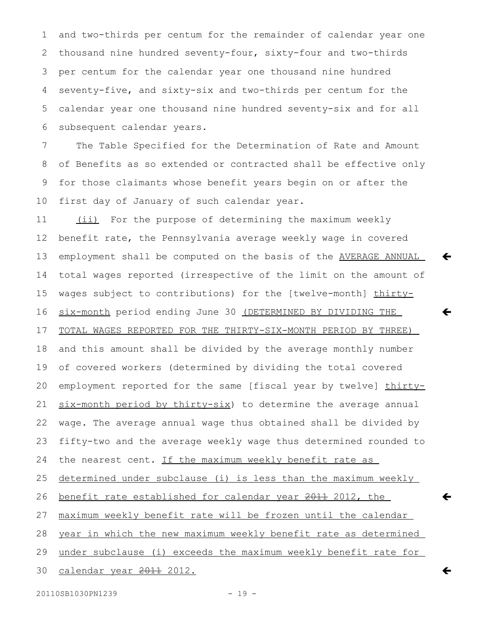and two-thirds per centum for the remainder of calendar year one thousand nine hundred seventy-four, sixty-four and two-thirds per centum for the calendar year one thousand nine hundred seventy-five, and sixty-six and two-thirds per centum for the calendar year one thousand nine hundred seventy-six and for all subsequent calendar years. 1 2 3 4 5 6

The Table Specified for the Determination of Rate and Amount of Benefits as so extended or contracted shall be effective only for those claimants whose benefit years begin on or after the first day of January of such calendar year. 7 8 9 10

 $\leftarrow$ 

 $\leftarrow$ 

 $\leftarrow$ 

 $\leftarrow$ 

(ii) For the purpose of determining the maximum weekly benefit rate, the Pennsylvania average weekly wage in covered employment shall be computed on the basis of the AVERAGE ANNUAL total wages reported (irrespective of the limit on the amount of wages subject to contributions) for the [twelve-month] thirtysix-month period ending June 30 (DETERMINED BY DIVIDING THE TOTAL WAGES REPORTED FOR THE THIRTY-SIX-MONTH PERIOD BY THREE) and this amount shall be divided by the average monthly number of covered workers (determined by dividing the total covered employment reported for the same [fiscal year by twelve] thirtysix-month period by thirty-six) to determine the average annual wage. The average annual wage thus obtained shall be divided by fifty-two and the average weekly wage thus determined rounded to the nearest cent. If the maximum weekly benefit rate as determined under subclause (i) is less than the maximum weekly benefit rate established for calendar year 2011 2012, the maximum weekly benefit rate will be frozen until the calendar year in which the new maximum weekly benefit rate as determined under subclause (i) exceeds the maximum weekly benefit rate for calendar year 2011 2012. 11 12 13 14 15 16 17 18 19 20 21 22 23 24 25 26 27 28 29 30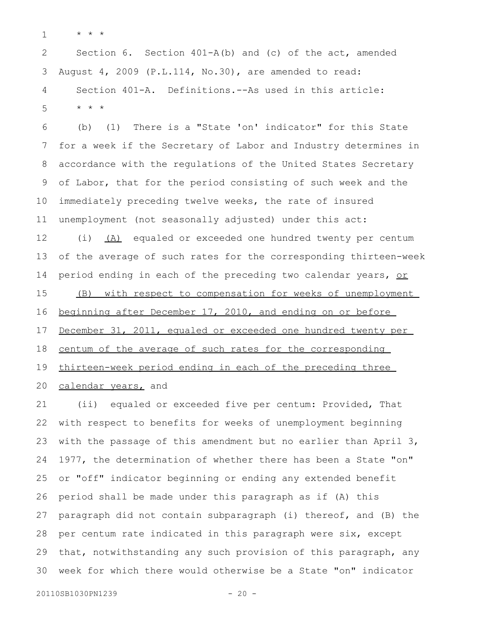\* \* \* 1

Section 6. Section 401-A(b) and (c) of the act, amended August 4, 2009 (P.L.114, No.30), are amended to read: Section 401-A. Definitions.--As used in this article: \* \* \* 2 3 4 5

(b) (1) There is a "State 'on' indicator" for this State for a week if the Secretary of Labor and Industry determines in accordance with the regulations of the United States Secretary of Labor, that for the period consisting of such week and the immediately preceding twelve weeks, the rate of insured unemployment (not seasonally adjusted) under this act: (i) (A) equaled or exceeded one hundred twenty per centum of the average of such rates for the corresponding thirteen-week period ending in each of the preceding two calendar years, or (B) with respect to compensation for weeks of unemployment beginning after December 17, 2010, and ending on or before December 31, 2011, equaled or exceeded one hundred twenty per centum of the average of such rates for the corresponding thirteen-week period ending in each of the preceding three calendar years, and 6 7 8 9 10 11 12 13 14 15 16 17 18 19 20

(ii) equaled or exceeded five per centum: Provided, That with respect to benefits for weeks of unemployment beginning with the passage of this amendment but no earlier than April 3, 1977, the determination of whether there has been a State "on" or "off" indicator beginning or ending any extended benefit period shall be made under this paragraph as if (A) this paragraph did not contain subparagraph (i) thereof, and (B) the per centum rate indicated in this paragraph were six, except that, notwithstanding any such provision of this paragraph, any week for which there would otherwise be a State "on" indicator 21 22 23 24 25 26 27 28 29 30

```
20110SB1030PN1239 - 20 -
```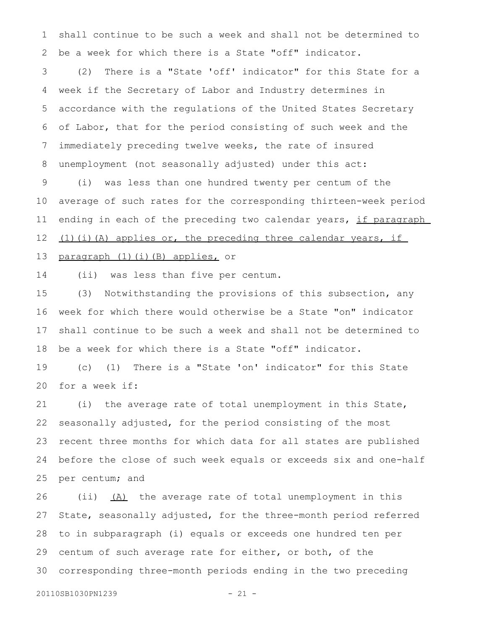shall continue to be such a week and shall not be determined to be a week for which there is a State "off" indicator. 1 2

(2) There is a "State 'off' indicator" for this State for a week if the Secretary of Labor and Industry determines in accordance with the regulations of the United States Secretary of Labor, that for the period consisting of such week and the immediately preceding twelve weeks, the rate of insured unemployment (not seasonally adjusted) under this act: 3 4 5 6 7 8

(i) was less than one hundred twenty per centum of the average of such rates for the corresponding thirteen-week period ending in each of the preceding two calendar years, if paragraph (1)(i)(A) applies or, the preceding three calendar years, if 9 10 11 12

paragraph (1)(i)(B) applies, or 13

(ii) was less than five per centum. 14

(3) Notwithstanding the provisions of this subsection, any week for which there would otherwise be a State "on" indicator shall continue to be such a week and shall not be determined to be a week for which there is a State "off" indicator. 15 16 17 18

(c) (1) There is a "State 'on' indicator" for this State for a week if: 19 20

(i) the average rate of total unemployment in this State, seasonally adjusted, for the period consisting of the most recent three months for which data for all states are published before the close of such week equals or exceeds six and one-half per centum; and 21 22 23 24 25

(ii)  $(A)$  the average rate of total unemployment in this State, seasonally adjusted, for the three-month period referred to in subparagraph (i) equals or exceeds one hundred ten per centum of such average rate for either, or both, of the corresponding three-month periods ending in the two preceding 26 27 28 29 30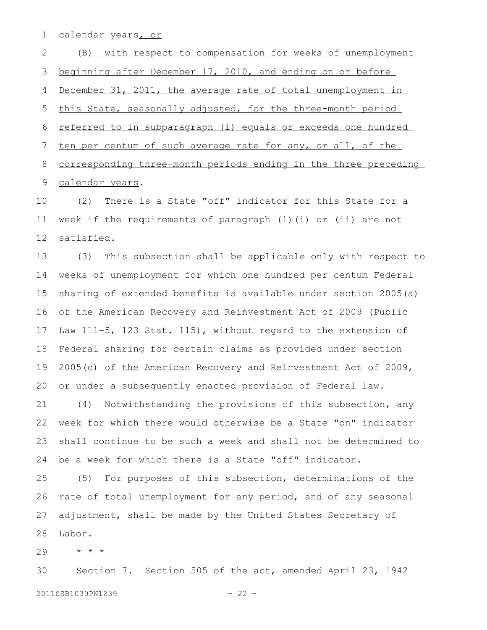calendar years, or 1

(B) with respect to compensation for weeks of unemployment beginning after December 17, 2010, and ending on or before December 31, 2011, the average rate of total unemployment in this State, seasonally adjusted, for the three-month period referred to in subparagraph (i) equals or exceeds one hundred ten per centum of such average rate for any, or all, of the corresponding three-month periods ending in the three preceding calendar years. 2 3 4 5 6 7 8 9

(2) There is a State "off" indicator for this State for a week if the requirements of paragraph (1)(i) or (ii) are not satisfied. 10 11 12

(3) This subsection shall be applicable only with respect to weeks of unemployment for which one hundred per centum Federal sharing of extended benefits is available under section 2005(a) of the American Recovery and Reinvestment Act of 2009 (Public Law 111-5, 123 Stat. 115), without regard to the extension of Federal sharing for certain claims as provided under section 2005(c) of the American Recovery and Reinvestment Act of 2009, or under a subsequently enacted provision of Federal law. 13 14 15 16 17 18 19 20

(4) Notwithstanding the provisions of this subsection, any week for which there would otherwise be a State "on" indicator shall continue to be such a week and shall not be determined to be a week for which there is a State "off" indicator. 21 22 23 24

(5) For purposes of this subsection, determinations of the rate of total unemployment for any period, and of any seasonal adjustment, shall be made by the United States Secretary of Labor. 25 26 27 28

\* \* \* 29

Section 7. Section 505 of the act, amended April 23, 1942 20110SB1030PN1239 - 22 -30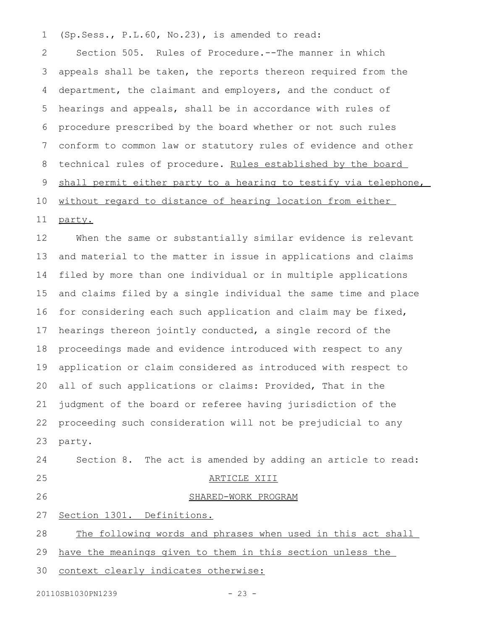(Sp.Sess., P.L.60, No.23), is amended to read: 1

Section 505. Rules of Procedure.--The manner in which appeals shall be taken, the reports thereon required from the department, the claimant and employers, and the conduct of hearings and appeals, shall be in accordance with rules of procedure prescribed by the board whether or not such rules conform to common law or statutory rules of evidence and other technical rules of procedure. Rules established by the board shall permit either party to a hearing to testify via telephone, without regard to distance of hearing location from either 2 3 4 5 6 7 8 9 10 11

When the same or substantially similar evidence is relevant and material to the matter in issue in applications and claims filed by more than one individual or in multiple applications and claims filed by a single individual the same time and place for considering each such application and claim may be fixed, hearings thereon jointly conducted, a single record of the proceedings made and evidence introduced with respect to any application or claim considered as introduced with respect to all of such applications or claims: Provided, That in the judgment of the board or referee having jurisdiction of the proceeding such consideration will not be prejudicial to any party. 12 13 14 15 16 17 18 19 20 21 22 23

Section 8. The act is amended by adding an article to read: ARTICLE XIII SHARED-WORK PROGRAM 24 25

26

27

Section 1301. Definitions.

The following words and phrases when used in this act shall 28

have the meanings given to them in this section unless the 29

context clearly indicates otherwise: 30

party.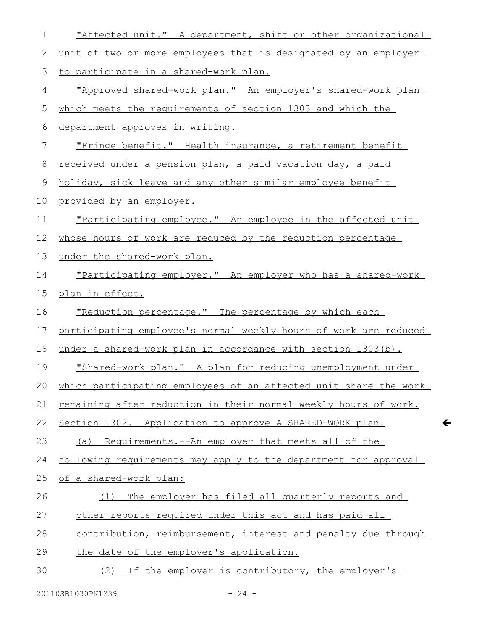| 1            | "Affected unit." A department, shift or other organizational     |
|--------------|------------------------------------------------------------------|
| $\mathbf{2}$ | unit of two or more employees that is designated by an employer  |
| 3            | to participate in a shared-work plan.                            |
| 4            | "Approved shared-work plan." An employer's shared-work plan      |
| 5            | which meets the requirements of section 1303 and which the       |
| 6            | department approves in writing.                                  |
| 7            | "Fringe benefit." Health insurance, a retirement benefit         |
| $8\,$        | received under a pension plan, a paid vacation day, a paid       |
| 9            | holiday, sick leave and any other similar employee benefit       |
| 10           | provided by an employer.                                         |
| 11           | "Participating employee." An employee in the affected unit       |
| 12           | whose hours of work are reduced by the reduction percentage      |
| 13           | under the shared-work plan.                                      |
| 14           | "Participating employer." An employer who has a shared-work      |
| 15           | plan in effect.                                                  |
| 16           | "Reduction percentage." The percentage by which each             |
| 17           | participating employee's normal weekly hours of work are reduced |
| 18           | under a shared-work plan in accordance with section 1303(b).     |
| 19           | "Shared-work plan." A plan for reducing unemployment under       |
| 20           | which participating employees of an affected unit share the work |
| 21           | remaining after reduction in their normal weekly hours of work.  |
| 22           | Section 1302. Application to approve A SHARED-WORK plan.         |
| 23           | (a) Requirements.--An employer that meets all of the             |
| 24           | following requirements may apply to the department for approval  |
| 25           | of a shared-work plan:                                           |
| 26           | The employer has filed all quarterly reports and<br>(1)          |
| 27           | other reports required under this act and has paid all           |
| 28           | contribution, reimbursement, interest and penalty due through    |
| 29           | the date of the employer's application.                          |
| 30           | If the employer is contributory, the employer's<br>(2)           |
|              |                                                                  |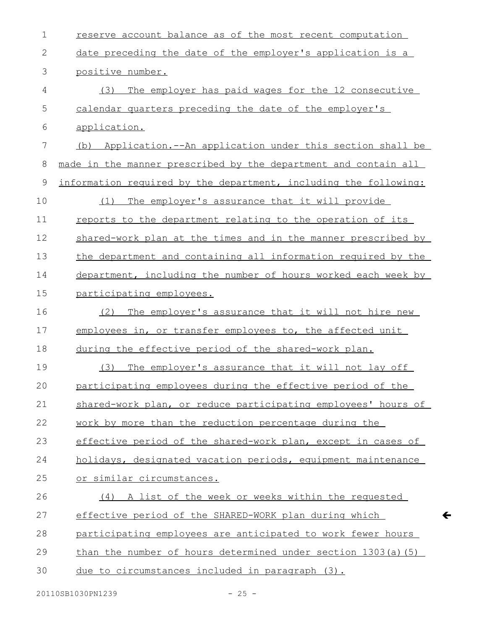| $\mathbf 1$ | reserve account balance as of the most recent computation        |
|-------------|------------------------------------------------------------------|
| 2           | date preceding the date of the employer's application is a       |
| 3           | positive number.                                                 |
| 4           | (3)<br>The employer has paid wages for the 12 consecutive        |
| 5           | calendar quarters preceding the date of the employer's           |
| 6           | application.                                                     |
| 7           | Application.--An application under this section shall be<br>(b)  |
| 8           | made in the manner prescribed by the department and contain all  |
| $\mathsf 9$ | information required by the department, including the following: |
| 10          | The employer's assurance that it will provide<br>(1)             |
| 11          | reports to the department relating to the operation of its       |
| 12          | shared-work plan at the times and in the manner prescribed by    |
| 13          | the department and containing all information required by the    |
| 14          | department, including the number of hours worked each week by    |
| 15          | participating employees.                                         |
| 16          | The employer's assurance that it will not hire new<br>(2)        |
| 17          | employees in, or transfer employees to, the affected unit        |
| 18          | during the effective period of the shared-work plan.             |
| 19          | The employer's assurance that it will not lay off<br>(3)         |
| 20          | participating employees during the effective period of the       |
| 21          | shared-work plan, or reduce participating employees' hours of    |
| 22          | work by more than the reduction percentage during the            |
| 23          | effective period of the shared-work plan, except in cases of     |
| 24          | holidays, designated vacation periods, equipment maintenance     |
| 25          | or similar circumstances.                                        |
| 26          | (4) A list of the week or weeks within the requested             |
| 27          | effective period of the SHARED-WORK plan during which            |
| 28          | participating employees are anticipated to work fewer hours      |
| 29          | than the number of hours determined under section 1303(a) (5)    |
| 30          | due to circumstances included in paragraph (3).                  |
|             |                                                                  |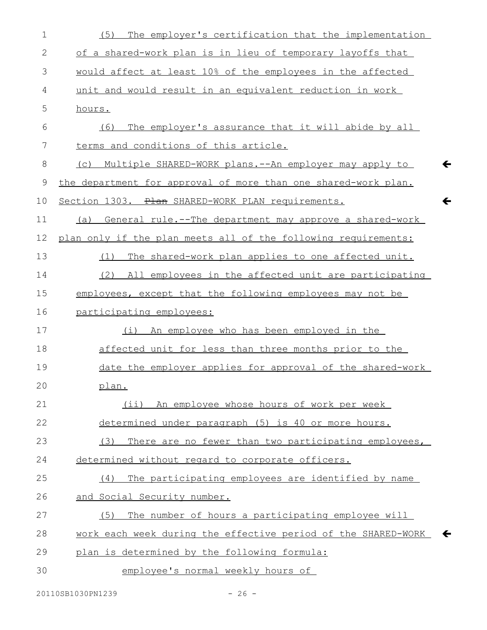| 1       | The employer's certification that the implementation<br>(5)                   |
|---------|-------------------------------------------------------------------------------|
| 2       | of a shared-work plan is in lieu of temporary layoffs that                    |
| 3       | would affect at least 10% of the employees in the affected                    |
| 4       | unit and would result in an equivalent reduction in work                      |
| 5       | hours.                                                                        |
| 6       | The employer's assurance that it will abide by all<br>(6)                     |
| 7       | terms and conditions of this article.                                         |
| $\,8\,$ | $\leftarrow$<br>(c) Multiple SHARED-WORK plans.--An employer may apply to     |
| 9       | the department for approval of more than one shared-work plan.                |
| 10      | $\leftarrow$<br>Section 1303. Plan SHARED-WORK PLAN requirements.             |
| 11      | General rule.--The department may approve a shared-work<br>(a)                |
| 12      | plan only if the plan meets all of the following requirements:                |
| 13      | The shared-work plan applies to one affected unit.<br>(1)                     |
| 14      | (2) All employees in the affected unit are participating                      |
| 15      | employees, except that the following employees may not be                     |
| 16      | participating employees:                                                      |
| 17      | (i) An employee who has been employed in the                                  |
| 18      | affected unit for less than three months prior to the                         |
| 19      | date the employer applies for approval of the shared-work                     |
| 20      | plan.                                                                         |
| 21      | (ii) An employee whose hours of work per week                                 |
| 22      | determined under paragraph (5) is 40 or more hours.                           |
| 23      | (3)<br>There are no fewer than two participating employees,                   |
| 24      | determined without regard to corporate officers.                              |
| 25      | The participating employees are identified by name<br>(4)                     |
| 26      | and Social Security number.                                                   |
| 27      | The number of hours a participating employee will<br>(5)                      |
| 28      | work each week during the effective period of the SHARED-WORK<br>$\leftarrow$ |
| 29      | plan is determined by the following formula:                                  |
| 30      | employee's normal weekly hours of                                             |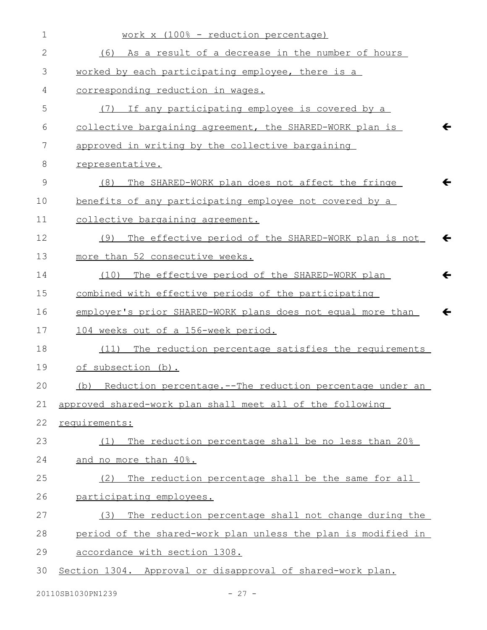| $\mathbf 1$   | work x (100% - reduction percentage)                                        |
|---------------|-----------------------------------------------------------------------------|
| 2             | As a result of a decrease in the number of hours<br>(6)                     |
| 3             | worked by each participating employee, there is a                           |
| 4             | corresponding reduction in wages.                                           |
| 5             | If any participating employee is covered by a<br>(7)                        |
| 6             | collective bargaining agreement, the SHARED-WORK plan is<br>$\leftarrow$    |
| 7             | approved in writing by the collective bargaining                            |
| 8             | representative.                                                             |
| $\mathcal{G}$ | $\leftarrow$<br>The SHARED-WORK plan does not affect the fringe<br>(8)      |
| 10            | benefits of any participating employee not covered by a                     |
| 11            | collective bargaining agreement.                                            |
| 12            | The effective period of the SHARED-WORK plan is not<br>$\leftarrow$<br>(9)  |
| 13            | more than 52 consecutive weeks.                                             |
| 14            | The effective period of the SHARED-WORK plan<br>$\leftarrow$<br>(10)        |
| 15            | combined with effective periods of the participating                        |
| 16            | employer's prior SHARED-WORK plans does not equal more than<br>$\leftarrow$ |
| 17            | 104 weeks out of a 156-week period.                                         |
| 18            | The reduction percentage satisfies the requirements<br>(11)                 |
| 19            | of subsection (b).                                                          |
| 20            | (b) Reduction percentage.--The reduction percentage under an                |
| 21            | approved shared-work plan shall meet all of the following                   |
| 22            | requirements:                                                               |
| 23            | The reduction percentage shall be no less than 20%<br>(1)                   |
| 24            | and no more than 40%.                                                       |
| 25            | The reduction percentage shall be the same for all<br>(2)                   |
| 26            | participating employees.                                                    |
| 27            | (3) The reduction percentage shall not change during the                    |
| 28            | period of the shared-work plan unless the plan is modified in               |
| 29            | accordance with section 1308.                                               |
| 30            | Section 1304. Approval or disapproval of shared-work plan.                  |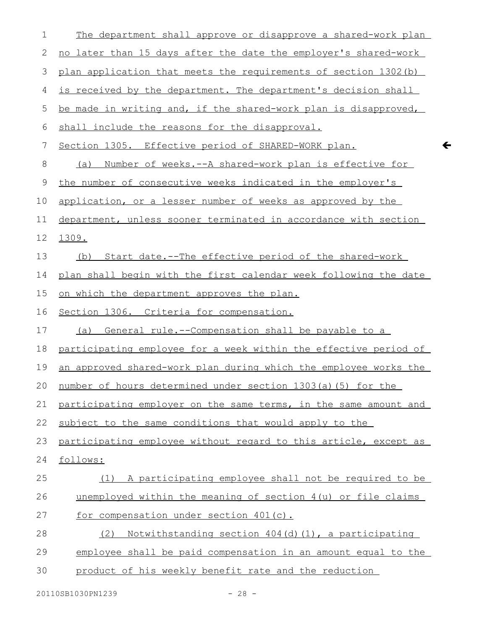| $\mathbf 1$ | The department shall approve or disapprove a shared-work plan       |
|-------------|---------------------------------------------------------------------|
| 2           | no later than 15 days after the date the employer's shared-work     |
| 3           | plan application that meets the requirements of section 1302 (b)    |
| 4           | is received by the department. The department's decision shall      |
| 5           | be made in writing and, if the shared-work plan is disapproved,     |
| 6           | shall include the reasons for the disapproval.                      |
| 7           | Section 1305. Effective period of SHARED-WORK plan.                 |
| 8           | <u>Number of weeks.--A shared-work plan is effective for</u><br>(a) |
| 9           | the number of consecutive weeks indicated in the employer's         |
| 10          | application, or a lesser number of weeks as approved by the         |
| 11          | department, unless sooner terminated in accordance with section     |
| 12          | 1309.                                                               |
| 13          | Start date.--The effective period of the shared-work<br>(b)         |
| 14          | plan shall begin with the first calendar week following the date    |
| 15          | <u>on which the department approves the plan.</u>                   |
| 16          | Section 1306. Criteria for compensation.                            |
| 17          | (a) General rule.--Compensation shall be payable to a               |
| 18          | participating employee for a week within the effective period of    |
| 19          | an approved shared-work plan during which the employee works the    |
|             |                                                                     |
|             | 20 number of hours determined under section 1303(a)(5) for the      |
| 21          | participating employer on the same terms, in the same amount and    |
| 22          | subject to the same conditions that would apply to the              |
| 23          | participating employee without regard to this article, except as    |
| 24          | follows:                                                            |
| 25          | (1) A participating employee shall not be required to be            |
| 26          | unemployed within the meaning of section 4(u) or file claims        |
| 27          | for compensation under section 401(c).                              |
| 28          | Notwithstanding section 404(d)(1), a participating<br>(2)           |
| 29          | employee shall be paid compensation in an amount equal to the       |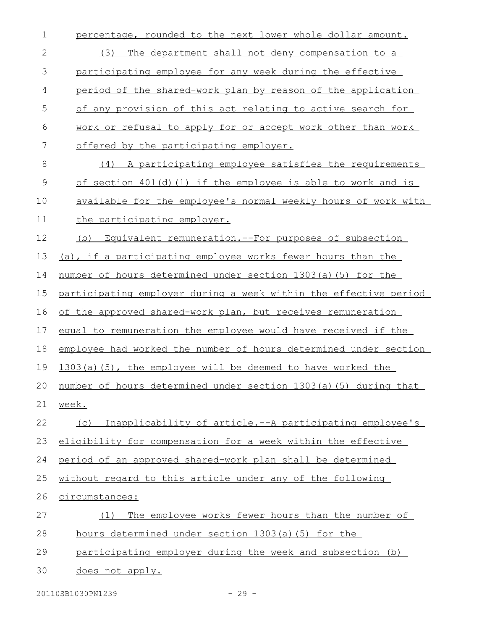percentage, rounded to the next lower whole dollar amount. (3) The department shall not deny compensation to a participating employee for any week during the effective period of the shared-work plan by reason of the application of any provision of this act relating to active search for work or refusal to apply for or accept work other than work offered by the participating employer. (4) A participating employee satisfies the requirements of section  $401(d)$  (1) if the employee is able to work and is available for the employee's normal weekly hours of work with the participating employer. (b) Equivalent remuneration.--For purposes of subsection (a), if a participating employee works fewer hours than the number of hours determined under section 1303(a)(5) for the participating employer during a week within the effective period of the approved shared-work plan, but receives remuneration equal to remuneration the employee would have received if the employee had worked the number of hours determined under section 1303(a)(5), the employee will be deemed to have worked the number of hours determined under section 1303(a)(5) during that week. (c) Inapplicability of article .--A participating employee's eligibility for compensation for a week within the effective period of an approved shared-work plan shall be determined without regard to this article under any of the following circumstances: (1) The employee works fewer hours than the number of hours determined under section 1303(a)(5) for the participating employer during the week and subsection (b) does not apply. 1 2 3 4 5 6 7 8 9 10 11 12 13 14 15 16 17 18 19 20 21 22 23 24 25 26 27 28 29 30

20110SB1030PN1239 - 29 -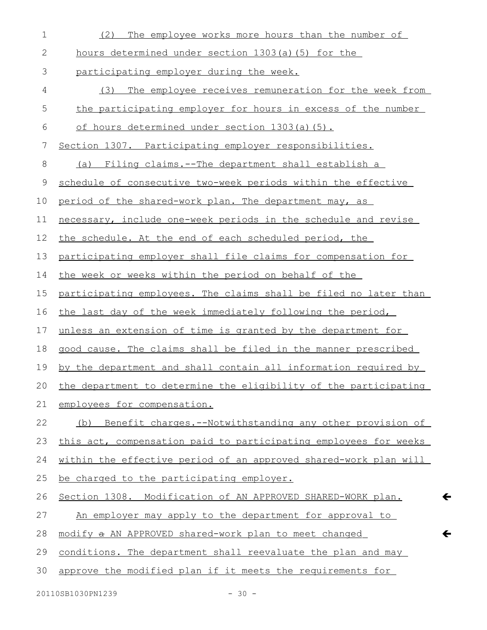(2) The employee works more hours than the number of hours determined under section 1303(a)(5) for the participating employer during the week. (3) The employee receives remuneration for the week from the participating employer for hours in excess of the number of hours determined under section 1303(a)(5). Section 1307. Participating employer responsibilities. (a) Filing claims.--The department shall establish a schedule of consecutive two-week periods within the effective period of the shared-work plan. The department may, as necessary, include one-week periods in the schedule and revise the schedule. At the end of each scheduled period, the participating employer shall file claims for compensation for the week or weeks within the period on behalf of the participating employees. The claims shall be filed no later than the last day of the week immediately following the period, unless an extension of time is granted by the department for good cause. The claims shall be filed in the manner prescribed by the department and shall contain all information required by the department to determine the eligibility of the participating employees for compensation. (b) Benefit charges.--Notwithstanding any other provision of this act, compensation paid to participating employees for weeks within the effective period of an approved shared-work plan will be charged to the participating employer. Section 1308. Modification of AN APPROVED SHARED-WORK plan. An employer may apply to the department for approval to modifya AN APPROVED shared-work plan to meet changed conditions. The department shall reevaluate the plan and may approve the modified plan if it meets the requirements for 1 2 3 4 5 6 7 8 9 10 11 12 13 14 15 16 17 18 19 20 21 22 23 24 25 26 27 28 29 30

 $20110$ SB1030PN1239 - 30 -

 $\leftarrow$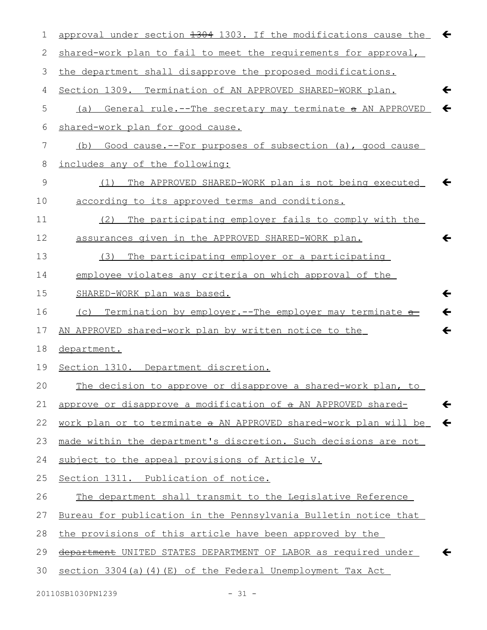| approval under section 1304 1303. If the modifications cause the<br>$\leftarrow$ |
|----------------------------------------------------------------------------------|
| shared-work plan to fail to meet the requirements for approval,                  |
| the department shall disapprove the proposed modifications.                      |
| $\leftarrow$<br>Section 1309. Termination of AN APPROVED SHARED-WORK plan.       |
| $\leftarrow$<br>General rule.--The secretary may terminate a AN APPROVED<br>(a)  |
| shared-work plan for good cause.                                                 |
| Good cause.--For purposes of subsection (a), good cause<br>(b)                   |
| includes any of the following:                                                   |
| The APPROVED SHARED-WORK plan is not being executed<br>(1)                       |
| according to its approved terms and conditions.                                  |
| The participating employer fails to comply with the<br>(2)                       |
| $\leftarrow$<br>assurances given in the APPROVED SHARED-WORK plan.               |
| The participating employer or a participating<br>(3)                             |
| employee violates any criteria on which approval of the                          |
| $\leftarrow$<br>SHARED-WORK plan was based.                                      |
| $\leftarrow$<br>(c) Termination by employer.--The employer may terminate a       |
| $\leftarrow$<br>AN APPROVED shared-work plan by written notice to the            |
| department.                                                                      |
| Section 1310. Department discretion.                                             |
| The decision to approve or disapprove a shared-work plan, to                     |
| approve or disapprove a modification of a AN APPROVED shared-<br>←               |
| work plan or to terminate a AN APPROVED shared-work plan will be<br>$\leftarrow$ |
| made within the department's discretion. Such decisions are not                  |
| subject to the appeal provisions of Article V.                                   |
| Section 1311. Publication of notice.                                             |
| The department shall transmit to the Legislative Reference                       |
| Bureau for publication in the Pennsylvania Bulletin notice that                  |
| the provisions of this article have been approved by the                         |
| department UNITED STATES DEPARTMENT OF LABOR as required under                   |
| section 3304 (a) (4) (E) of the Federal Unemployment Tax Act                     |
|                                                                                  |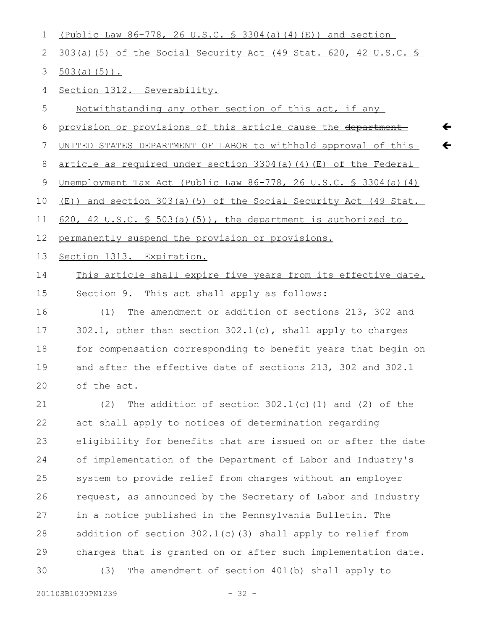| 1           | (Public Law $86-778$ , 26 U.S.C. $\frac{1}{5}$ 3304(a)(4)(E)) and section |
|-------------|---------------------------------------------------------------------------|
| 2           | 303(a)(5) of the Social Security Act (49 Stat. 620, 42 U.S.C. §           |
| 3           | $503(a) (5)$ .                                                            |
| 4           | Section 1312. Severability.                                               |
| 5           | Notwithstanding any other section of this act, if any                     |
| 6           | provision or provisions of this article cause the department              |
| 7           | UNITED STATES DEPARTMENT OF LABOR to withhold approval of this            |
| 8           | article as required under section 3304(a)(4)(E) of the Federal            |
| $\mathsf 9$ | Unemployment Tax Act (Public Law 86-778, 26 U.S.C. § 3304(a)(4)           |
| 10          | (E)) and section 303(a)(5) of the Social Security Act (49 Stat.           |
| 11          | 620, 42 U.S.C. § 503(a)(5)), the department is authorized to              |
| 12          | permanently suspend the provision or provisions.                          |
| 13          | Section 1313. Expiration.                                                 |
| 14          | This article shall expire five years from its effective date.             |
| 15          | Section 9. This act shall apply as follows:                               |
| 16          | The amendment or addition of sections 213, 302 and<br>(1)                 |
| 17          | 302.1, other than section $302.1(c)$ , shall apply to charges             |
| 18          | for compensation corresponding to benefit years that begin on             |
| 19          | and after the effective date of sections 213, 302 and 302.1               |
| 20          | of the act.                                                               |
| 21          | The addition of section $302.1(c)$ (1) and (2) of the<br>(2)              |
| 22          | act shall apply to notices of determination regarding                     |
| 23          | eligibility for benefits that are issued on or after the date             |
| 24          | of implementation of the Department of Labor and Industry's               |
| 25          | system to provide relief from charges without an employer                 |

 $\leftarrow$ 

request, as announced by the Secretary of Labor and Industry in a notice published in the Pennsylvania Bulletin. The addition of section 302.1(c)(3) shall apply to relief from charges that is granted on or after such implementation date. (3) The amendment of section 401(b) shall apply to 26 27 28 29 30